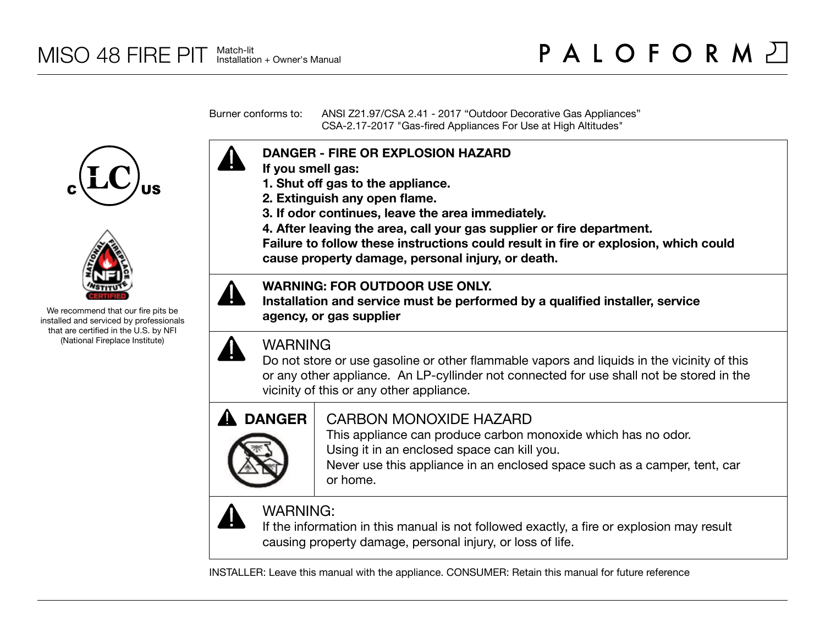Burner conforms to: ANSI Z21.97/CSA 2.41 - 2017 "Outdoor Decorative Gas Appliances" CSA-2.17-2017 "Gas-fired Appliances For Use at High Altitudes"





We recommend that our fire pits be installed and serviced by professionals that are certified in the U.S. by NFI (National Fireplace Institute)



- **If you smell gas:**
- **1. Shut off gas to the appliance.**
- **2. Extinguish any open flame.**
- **3. If odor continues, leave the area immediately.**
- **4. After leaving the area, call your gas supplier or fire department.**

**Failure to follow these instructions could result in fire or explosion, which could cause property damage, personal injury, or death.**

### **WARNING: FOR OUTDOOR USE ONLY.**

**Installation and service must be performed by a qualified installer, service agency, or gas supplier**



## WARNING

Do not store or use gasoline or other flammable vapors and liquids in the vicinity of this or any other appliance. An LP-cyllinder not connected for use shall not be stored in the vicinity of this or any other appliance.



## CARBON MONOXIDE HAZARD

This appliance can produce carbon monoxide which has no odor. Using it in an enclosed space can kill you.

Never use this appliance in an enclosed space such as a camper, tent, car or home.



# WARNING:

If the information in this manual is not followed exactly, a fire or explosion may result causing property damage, personal injury, or loss of life.

INSTALLER: Leave this manual with the appliance. CONSUMER: Retain this manual for future reference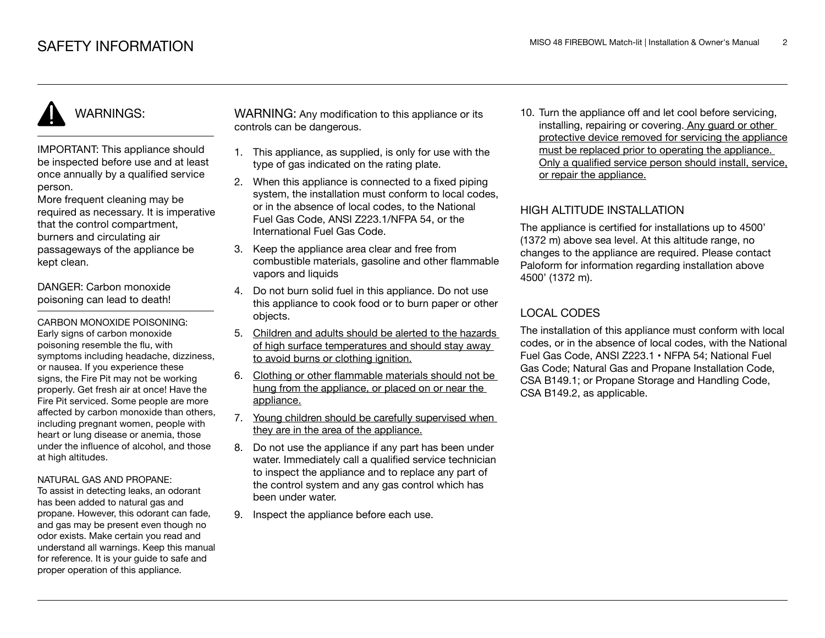# WARNINGS:

IMPORTANT: This appliance should be inspected before use and at least once annually by a qualified service person.

More frequent cleaning may be required as necessary. It is imperative that the control compartment, burners and circulating air passageways of the appliance be kept clean.

DANGER: Carbon monoxide poisoning can lead to death!

CARBON MONOXIDE POISONING: Early signs of carbon monoxide poisoning resemble the flu, with symptoms including headache, dizziness, or nausea. If you experience these signs, the Fire Pit may not be working properly. Get fresh air at once! Have the Fire Pit serviced. Some people are more affected by carbon monoxide than others, including pregnant women, people with heart or lung disease or anemia, those under the influence of alcohol, and those at high altitudes.

#### NATURAL GAS AND PROPANE:

To assist in detecting leaks, an odorant has been added to natural gas and propane. However, this odorant can fade, and gas may be present even though no odor exists. Make certain you read and understand all warnings. Keep this manual for reference. It is your guide to safe and proper operation of this appliance.

WARNING: Any modification to this appliance or its controls can be dangerous.

- 1. This appliance, as supplied, is only for use with the type of gas indicated on the rating plate.
- 2. When this appliance is connected to a fixed piping system, the installation must conform to local codes. or in the absence of local codes, to the National Fuel Gas Code, ANSI Z223.1/NFPA 54, or the International Fuel Gas Code.
- 3. Keep the appliance area clear and free from combustible materials, gasoline and other flammable vapors and liquids
- 4. Do not burn solid fuel in this appliance. Do not use this appliance to cook food or to burn paper or other objects.
- 5. Children and adults should be alerted to the hazards of high surface temperatures and should stay away to avoid burns or clothing ignition.
- 6. Clothing or other flammable materials should not be hung from the appliance, or placed on or near the appliance.
- 7. Young children should be carefully supervised when they are in the area of the appliance.
- 8. Do not use the appliance if any part has been under water. Immediately call a qualified service technician to inspect the appliance and to replace any part of the control system and any gas control which has been under water.
- 9. Inspect the appliance before each use.

10. Turn the appliance off and let cool before servicing, installing, repairing or covering. Any guard or other protective device removed for servicing the appliance must be replaced prior to operating the appliance. Only a qualified service person should install, service, or repair the appliance.

#### HIGH ALTITUDE INSTALLATION

The appliance is certified for installations up to 4500' (1372 m) above sea level. At this altitude range, no changes to the appliance are required. Please contact Paloform for information regarding installation above 4500' (1372 m).

### LOCAL CODES

The installation of this appliance must conform with local codes, or in the absence of local codes, with the National Fuel Gas Code, ANSI Z223.1 • NFPA 54; National Fuel Gas Code; Natural Gas and Propane Installation Code, CSA B149.1; or Propane Storage and Handling Code, CSA B149.2, as applicable.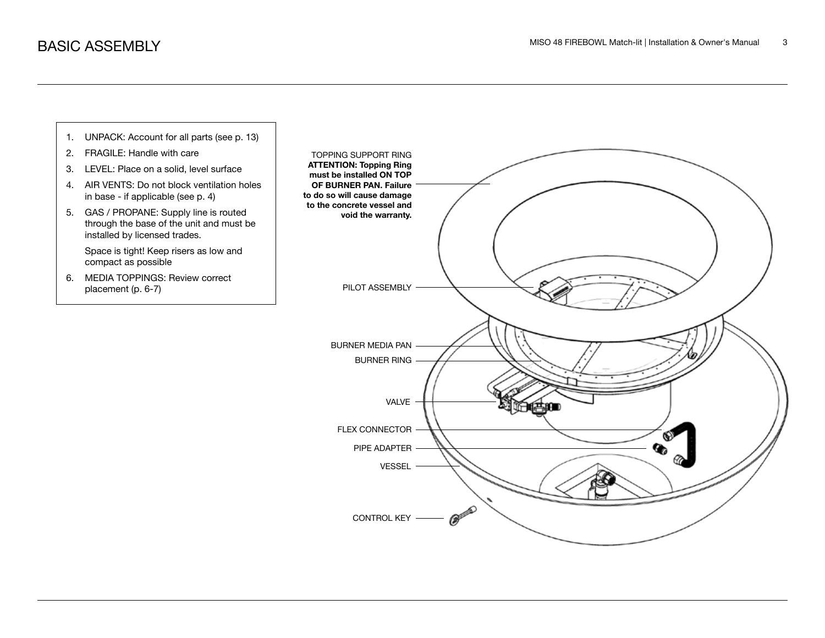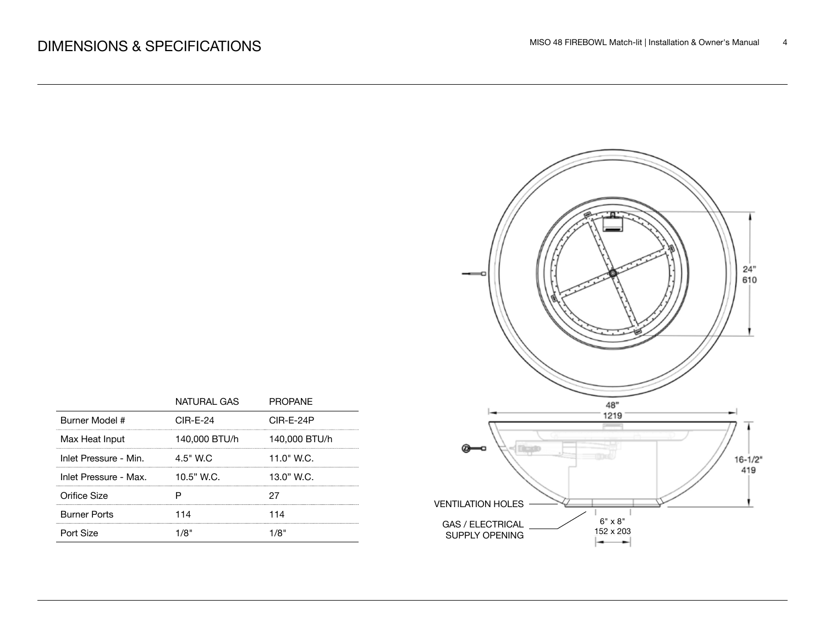|                       | NATURAI GAS   | PROPANF       |
|-----------------------|---------------|---------------|
| Burner Model #        | $CIR-F-24$    | $CIR-F-24P$   |
| Max Heat Input        | 140,000 BTU/h | 140,000 BTU/h |
| Inlet Pressure - Min. | 4.5" W.C      | 11.0" W.C.    |
| Inlet Pressure - Max. | $10.5"$ W.C.  | 13.0" W.C.    |
| Orifice Size          |               |               |
| <b>Burner Ports</b>   | 114           | 114           |
| Port Size             |               |               |

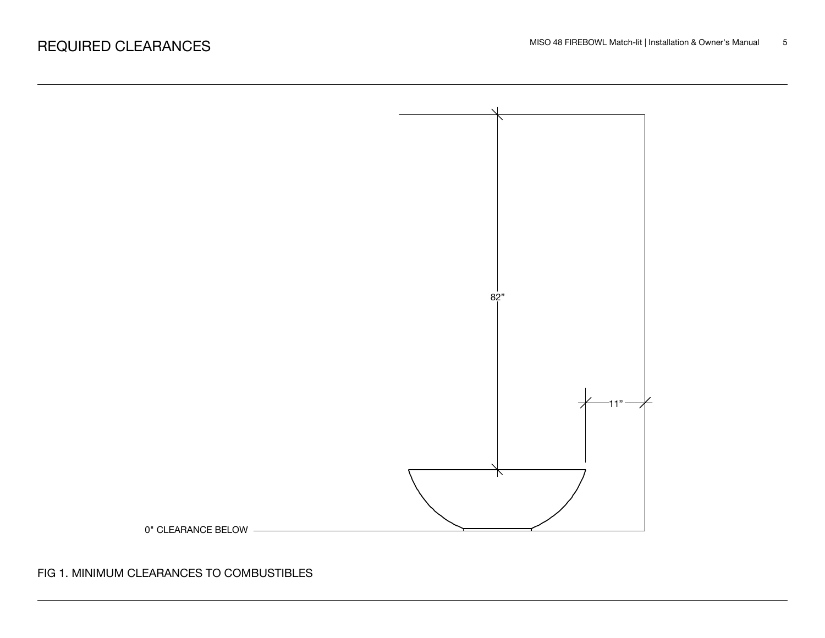

FIG 1. MINIMUM CLEARANCES TO COMBUSTIBLES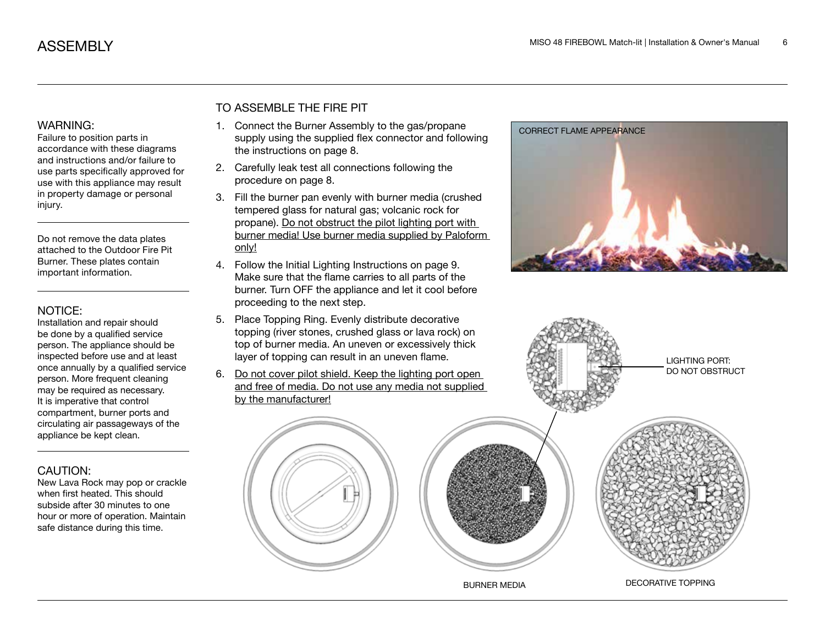#### WARNING:

Failure to position parts in accordance with these diagrams and instructions and/or failure to use parts specifically approved for use with this appliance may result in property damage or personal injury.

Do not remove the data plates attached to the Outdoor Fire Pit Burner. These plates contain important information.

#### NOTICE:

Installation and repair should be done by a qualified service person. The appliance should be inspected before use and at least once annually by a qualified service person. More frequent cleaning may be required as necessary. It is imperative that control compartment, burner ports and circulating air passageways of the appliance be kept clean.

#### CAUTION:

New Lava Rock may pop or crackle when first heated. This should subside after 30 minutes to one hour or more of operation. Maintain safe distance during this time.

#### TO ASSEMBLE THE FIRE PIT

- 1. Connect the Burner Assembly to the gas/propane supply using the supplied flex connector and following the instructions on page 8.
- 2. Carefully leak test all connections following the procedure on page 8.
- 3. Fill the burner pan evenly with burner media (crushed tempered glass for natural gas; volcanic rock for propane). Do not obstruct the pilot lighting port with burner media! Use burner media supplied by Paloform only!
- 4. Follow the Initial Lighting Instructions on page 9. Make sure that the flame carries to all parts of the burner. Turn OFF the appliance and let it cool before proceeding to the next step.
- 5. Place Topping Ring. Evenly distribute decorative topping (river stones, crushed glass or lava rock) on top of burner media. An uneven or excessively thick layer of topping can result in an uneven flame.
- 6. Do not cover pilot shield. Keep the lighting port open and free of media. Do not use any media not supplied by the manufacturer!





BURNER MEDIA DECORATIVE TOPPING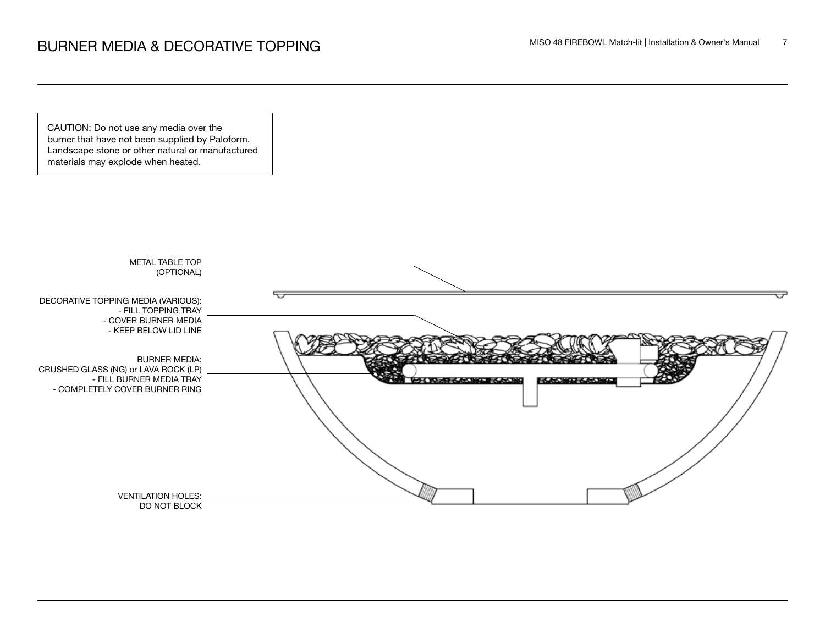CAUTION: Do not use any media over the burner that have not been supplied by Paloform. Landscape stone or other natural or manufactured materials may explode when heated.

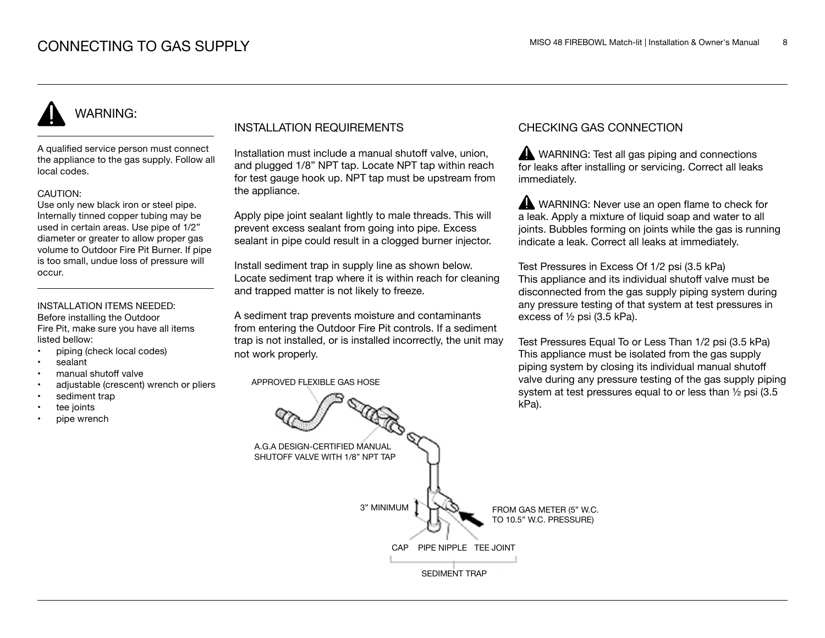# WARNING:

A qualified service person must connect the appliance to the gas supply. Follow all local codes.

#### CAUTION:

Use only new black iron or steel pipe. Internally tinned copper tubing may be used in certain areas. Use pipe of 1/2" diameter or greater to allow proper gas volume to Outdoor Fire Pit Burner. If pipe is too small, undue loss of pressure will occur.

#### INSTALLATION ITEMS NEEDED:

Before installing the Outdoor Fire Pit, make sure you have all items listed bellow:

- piping (check local codes)
- sealant
- manual shutoff valve
- adjustable (crescent) wrench or pliers
- sediment trap
- tee joints
- pipe wrench

#### INSTALLATION REQUIREMENTS

Installation must include a manual shutoff valve, union, and plugged 1/8" NPT tap. Locate NPT tap within reach for test gauge hook up. NPT tap must be upstream from the appliance.

Apply pipe joint sealant lightly to male threads. This will prevent excess sealant from going into pipe. Excess sealant in pipe could result in a clogged burner injector.

Install sediment trap in supply line as shown below. Locate sediment trap where it is within reach for cleaning and trapped matter is not likely to freeze.

A sediment trap prevents moisture and contaminants from entering the Outdoor Fire Pit controls. If a sediment trap is not installed, or is installed incorrectly, the unit may not work properly.

APPROVED FLEXIBLE GAS HOSE

#### CHECKING GAS CONNECTION

WARNING: Test all gas piping and connections for leaks after installing or servicing. Correct all leaks immediately.

WARNING: Never use an open flame to check for a leak. Apply a mixture of liquid soap and water to all joints. Bubbles forming on joints while the gas is running indicate a leak. Correct all leaks at immediately.

Test Pressures in Excess Of 1/2 psi (3.5 kPa) This appliance and its individual shutoff valve must be disconnected from the gas supply piping system during any pressure testing of that system at test pressures in excess of ½ psi (3.5 kPa).

Test Pressures Equal To or Less Than 1/2 psi (3.5 kPa) This appliance must be isolated from the gas supply piping system by closing its individual manual shutoff valve during any pressure testing of the gas supply piping system at test pressures equal to or less than ½ psi (3.5 kPa).

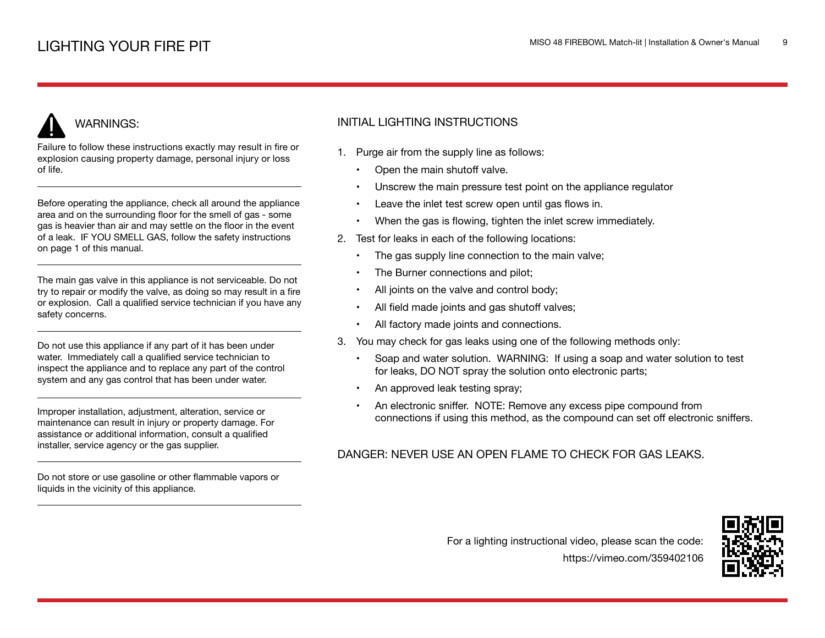# WARNINGS:

Failure to follow these instructions exactly may result in fire or explosion causing property damage, personal injury or loss of life.

Before operating the appliance, check all around the appliance area and on the surrounding floor for the smell of gas - some gas is heavier than air and may settle on the floor in the event of a leak. IF YOU SMELL GAS, follow the safety instructions on page 1 of this manual.

The main gas valve in this appliance is not serviceable. Do not try to repair or modify the valve, as doing so may result in a fire or explosion. Call a qualified service technician if you have any safety concerns.

Do not use this appliance if any part of it has been under water. Immediately call a qualified service technician to inspect the appliance and to replace any part of the control system and any gas control that has been under water.

Improper installation, adjustment, alteration, service or maintenance can result in injury or property damage. For assistance or additional information, consult a qualified installer, service agency or the gas supplier.

Do not store or use gasoline or other flammable vapors or liquids in the vicinity of this appliance.

#### INITIAL LIGHTING INSTRUCTIONS

- 1. Purge air from the supply line as follows:
	- Open the main shutoff valve.
	- Unscrew the main pressure test point on the appliance regulator
	- Leave the inlet test screw open until gas flows in.
	- When the gas is flowing, tighten the inlet screw immediately.
- 2. Test for leaks in each of the following locations:
	- The gas supply line connection to the main valve;
	- The Burner connections and pilot;
	- All joints on the valve and control body;
	- All field made joints and gas shutoff valves;
	- All factory made joints and connections.
- 3. You may check for gas leaks using one of the following methods only:
	- Soap and water solution. WARNING: If using a soap and water solution to test for leaks, DO NOT spray the solution onto electronic parts;
	- An approved leak testing spray;
	- An electronic sniffer. NOTE: Remove any excess pipe compound from connections if using this method, as the compound can set off electronic sniffers.

#### DANGER: NEVER USE AN OPEN FLAME TO CHECK FOR GAS LEAKS.

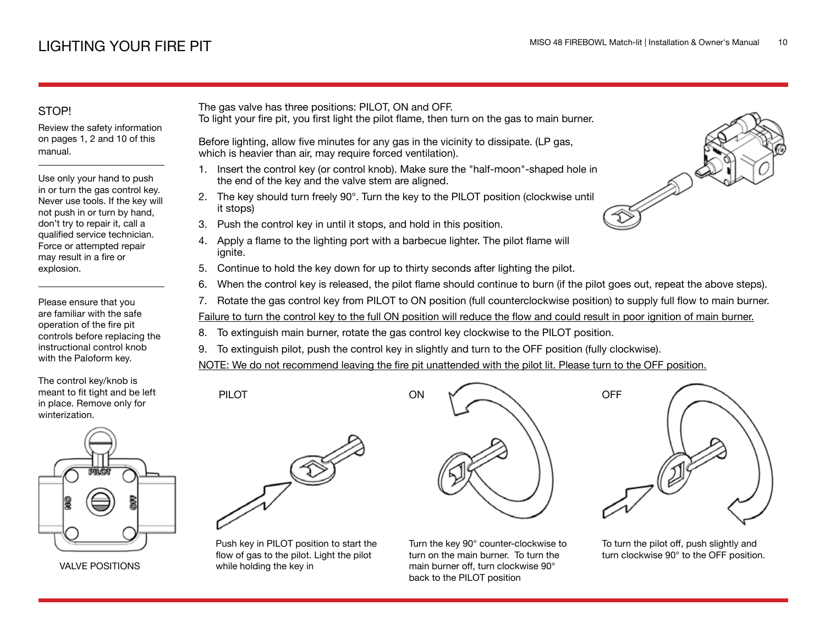## LIGHTING YOUR FIRE PIT

#### STOP!

Review the safety information on pages 1, 2 and 10 of this manual.

Use only your hand to push in or turn the gas control key. Never use tools. If the key will not push in or turn by hand, don't try to repair it, call a qualified service technician. Force or attempted repair may result in a fire or explosion.

Please ensure that you are familiar with the safe operation of the fire pit controls before replacing the instructional control knob with the Paloform key.

The control key/knob is meant to fit tight and be left in place. Remove only for winterization.



VALVE POSITIONS

The gas valve has three positions: PILOT, ON and OFF.

To light your fire pit, you first light the pilot flame, then turn on the gas to main burner.

Before lighting, allow five minutes for any gas in the vicinity to dissipate. (LP gas, which is heavier than air, may require forced ventilation).

- 1. Insert the control key (or control knob). Make sure the "half-moon"-shaped hole in the end of the key and the valve stem are aligned.
- 2. The key should turn freely 90°. Turn the key to the PILOT position (clockwise until it stops)
- 3. Push the control key in until it stops, and hold in this position.
- 4. Apply a flame to the lighting port with a barbecue lighter. The pilot flame will ianite.
- 5. Continue to hold the key down for up to thirty seconds after lighting the pilot.
- 6. When the control key is released, the pilot flame should continue to burn (if the pilot goes out, repeat the above steps).
- 7. Rotate the gas control key from PILOT to ON position (full counterclockwise position) to supply full flow to main burner.

Failure to turn the control key to the full ON position will reduce the flow and could result in poor ignition of main burner.

- 8. To extinguish main burner, rotate the gas control key clockwise to the PILOT position.
- 9. To extinguish pilot, push the control key in slightly and turn to the OFF position (fully clockwise).

NOTE: We do not recommend leaving the fire pit unattended with the pilot lit. Please turn to the OFF position.



PILOT

Push key in PILOT position to start the flow of gas to the pilot. Light the pilot while holding the key in



Turn the key 90° counter-clockwise to turn on the main burner. To turn the main burner off, turn clockwise 90° back to the PILOT position



To turn the pilot off, push slightly and turn clockwise 90° to the OFF position.

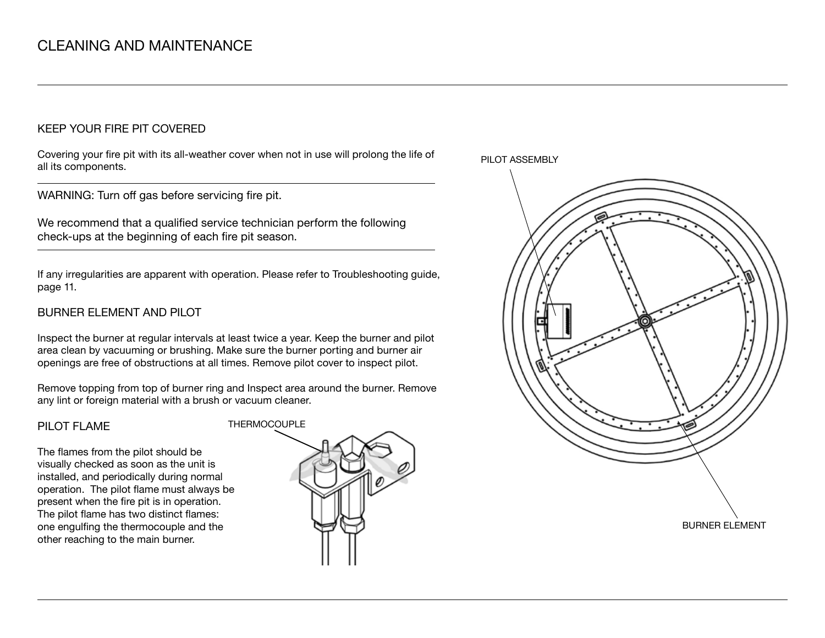#### KEEP YOUR FIRE PIT COVERED

Covering your fire pit with its all-weather cover when not in use will prolong the life of all its components.

WARNING: Turn off gas before servicing fire pit.

We recommend that a qualified service technician perform the following check-ups at the beginning of each fire pit season.

If any irregularities are apparent with operation. Please refer to Troubleshooting guide, page 11.

#### BURNER ELEMENT AND PILOT

Inspect the burner at regular intervals at least twice a year. Keep the burner and pilot area clean by vacuuming or brushing. Make sure the burner porting and burner air openings are free of obstructions at all times. Remove pilot cover to inspect pilot.

Remove topping from top of burner ring and Inspect area around the burner. Remove any lint or foreign material with a brush or vacuum cleaner.

#### PILOT FLAME

The flames from the pilot should be visually checked as soon as the unit is installed, and periodically during normal operation. The pilot flame must always be present when the fire pit is in operation. The pilot flame has two distinct flames: one engulfing the thermocouple and the other reaching to the main burner.



PILOT ASSEMBLY

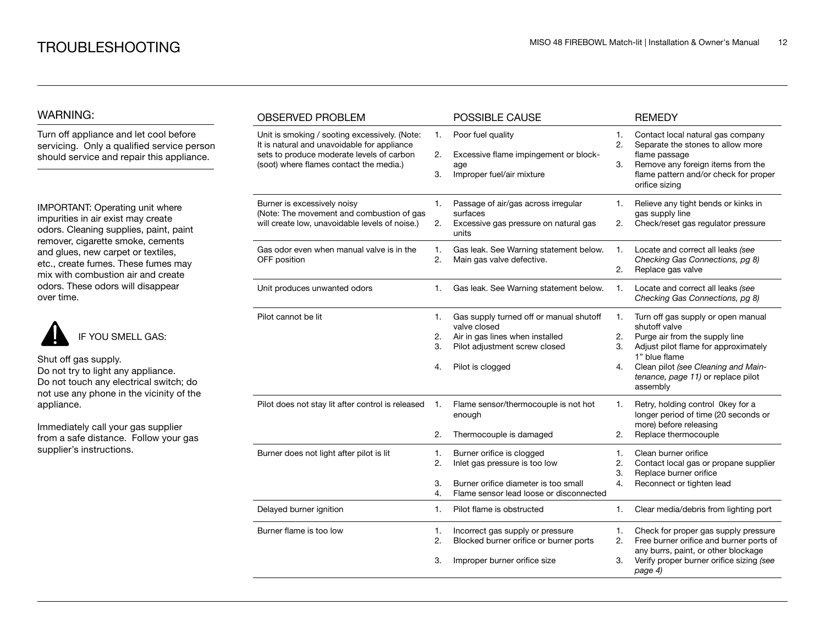#### WARNING:

Turn off appliance and let cool before servicing. Only a qualified service person should service and repair this appliance.

IMPORTANT: Operating unit where impurities in air exist may create odors. Cleaning supplies, paint, paint remover, cigarette smoke, cements and glues, new carpet or textiles, etc., create fumes. These fumes may mix with combustion air and create odors. These odors will disappear over time.



Shut off gas supply. Do not try to light any appliance. Do not touch any electrical switch; do

not use any phone in the vicinity of the appliance.

Immediately call your gas supplier from a safe distance. Follow your gas supplier's instructions.

| <b>OBSERVED PROBLEM</b>                                                                                                                                                              |                      | POSSIBLE CAUSE                                                                                                                                  |                      | <b>REMEDY</b>                                                                                                                                                                                                                           |
|--------------------------------------------------------------------------------------------------------------------------------------------------------------------------------------|----------------------|-------------------------------------------------------------------------------------------------------------------------------------------------|----------------------|-----------------------------------------------------------------------------------------------------------------------------------------------------------------------------------------------------------------------------------------|
| Unit is smoking / sooting excessively. (Note:<br>It is natural and unavoidable for appliance<br>sets to produce moderate levels of carbon<br>(soot) where flames contact the media.) | 1.<br>2.<br>3.       | Poor fuel quality<br>Excessive flame impingement or block-<br>age<br>Improper fuel/air mixture                                                  | 1.<br>2.<br>3.       | Contact local natural gas company<br>Separate the stones to allow more<br>flame passage<br>Remove any foreign items from the<br>flame pattern and/or check for proper<br>orifice sizing                                                 |
| Burner is excessively noisy<br>(Note: The movement and combustion of gas<br>will create low, unavoidable levels of noise.)                                                           | 1.<br>2.             | Passage of air/gas across irregular<br>surfaces<br>Excessive gas pressure on natural gas<br>units                                               | 1.<br>2.             | Relieve any tight bends or kinks in<br>gas supply line<br>Check/reset gas regulator pressure                                                                                                                                            |
| Gas odor even when manual valve is in the<br>OFF position                                                                                                                            | 1.<br>2.             | Gas leak. See Warning statement below.<br>Main gas valve defective.                                                                             | 1.<br>2.             | Locate and correct all leaks (see<br>Checking Gas Connections, pg 8)<br>Replace gas valve                                                                                                                                               |
| Unit produces unwanted odors                                                                                                                                                         | 1.                   | Gas leak. See Warning statement below.                                                                                                          | 1.                   | Locate and correct all leaks (see<br>Checking Gas Connections, pg 8)                                                                                                                                                                    |
| Pilot cannot be lit                                                                                                                                                                  | 1.<br>2.<br>3.<br>4. | Gas supply turned off or manual shutoff<br>valve closed<br>Air in gas lines when installed<br>Pilot adjustment screw closed<br>Pilot is clogged | 1.<br>2.<br>3.<br>4. | Turn off gas supply or open manual<br>shutoff valve<br>Purge air from the supply line<br>Adjust pilot flame for approximately<br>1" blue flame<br>Clean pilot (see Cleaning and Main-<br>tenance, page 11) or replace pilot<br>assembly |
| Pilot does not stay lit after control is released                                                                                                                                    | 1.<br>2.             | Flame sensor/thermocouple is not hot<br>enough<br>Thermocouple is damaged                                                                       | 1.<br>2.             | Retry, holding control 0key for a<br>longer period of time (20 seconds or<br>more) before releasing<br>Replace thermocouple                                                                                                             |
| Burner does not light after pilot is lit                                                                                                                                             | 1.<br>2.<br>3.<br>4. | Burner orifice is clogged<br>Inlet gas pressure is too low<br>Burner orifice diameter is too small<br>Flame sensor lead loose or disconnected   | 1.<br>2.<br>3.<br>4. | Clean burner orifice<br>Contact local gas or propane supplier<br>Replace burner orifice<br>Reconnect or tighten lead                                                                                                                    |
| Delayed burner ignition                                                                                                                                                              | 1.                   | Pilot flame is obstructed                                                                                                                       | 1.                   | Clear media/debris from lighting port                                                                                                                                                                                                   |
| Burner flame is too low                                                                                                                                                              | 1.<br>2.<br>3.       | Incorrect gas supply or pressure<br>Blocked burner orifice or burner ports<br>Improper burner orifice size                                      | 1.<br>2.<br>3.       | Check for proper gas supply pressure<br>Free burner orifice and burner ports of<br>any burrs, paint, or other blockage<br>Verify proper burner orifice sizing (see<br>page 4)                                                           |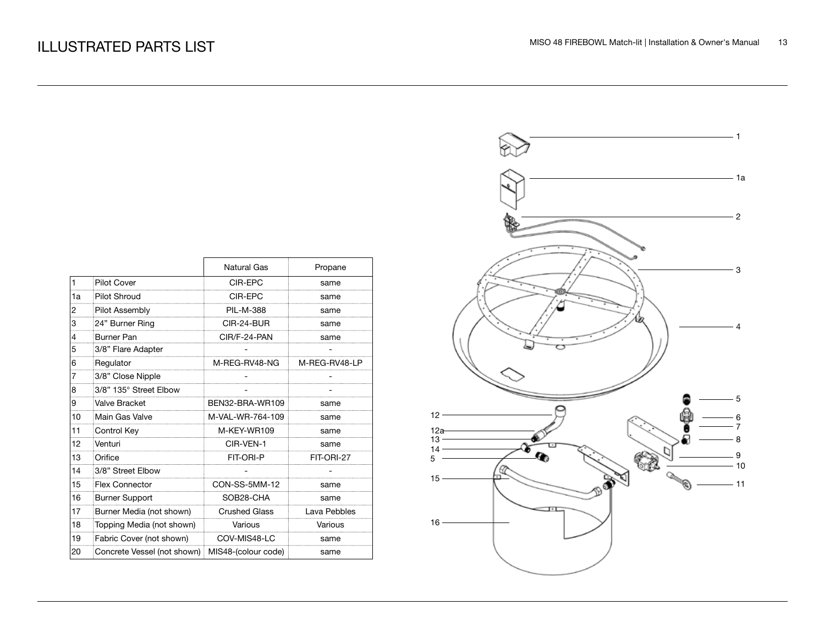|    |                                                   | Natural Gas          | Propane       |
|----|---------------------------------------------------|----------------------|---------------|
| 1  | <b>Pilot Cover</b>                                | CIR-EPC              | same          |
| 1a | <b>Pilot Shroud</b>                               | CIR-EPC              | same          |
| 2  | <b>Pilot Assembly</b>                             | <b>PIL-M-388</b>     | same          |
| 3  | 24" Burner Ring                                   | CIR-24-BUR           | same          |
| 4  | <b>Burner Pan</b>                                 | CIR/F-24-PAN         | same          |
| 5  | 3/8" Flare Adapter                                |                      |               |
| 6  | Regulator                                         | M-REG-RV48-NG        | M-REG-RV48-LP |
| 7  | 3/8" Close Nipple                                 |                      |               |
| 8  | 3/8" 135° Street Elbow                            |                      |               |
| 9  | Valve Bracket                                     | BEN32-BRA-WR109      | same          |
| 10 | Main Gas Valve                                    | M-VAL-WR-764-109     | same          |
| 11 | Control Key                                       | M-KFY-WR109          | same          |
| 12 | Venturi                                           | CIR-VEN-1            | same          |
| 13 | Orifice                                           | FIT-ORI-P            | FIT-ORI-27    |
| 14 | 3/8" Street Elbow                                 |                      |               |
| 15 | <b>Flex Connector</b>                             | CON-SS-5MM-12        | same          |
| 16 | <b>Burner Support</b>                             | SOB28-CHA            | same          |
| 17 | Burner Media (not shown)                          | <b>Crushed Glass</b> | Lava Pebbles  |
| 18 | Topping Media (not shown)                         | Various              | Various       |
| 19 | Fabric Cover (not shown)                          | COV-MIS48-LC         | same          |
| 20 | Concrete Vessel (not shown)   MIS48-(colour code) |                      | same          |